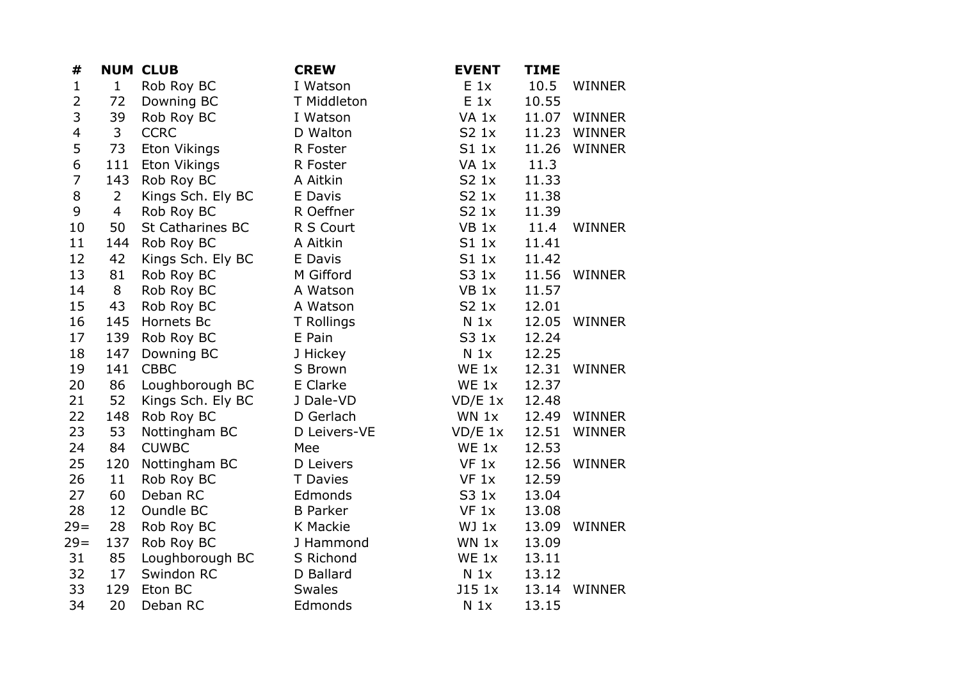| #              |                | <b>NUM CLUB</b>         | <b>CREW</b>     | <b>EVENT</b>     | <b>TIME</b> |               |
|----------------|----------------|-------------------------|-----------------|------------------|-------------|---------------|
| $\mathbf{1}$   | $\mathbf{1}$   | Rob Roy BC              | I Watson        | $E_1$            | 10.5        | <b>WINNER</b> |
| $\overline{2}$ | 72             | Downing BC              | T Middleton     | $E_1$            | 10.55       |               |
| 3              | 39             | Rob Roy BC              | I Watson        | VA 1x            | 11.07       | <b>WINNER</b> |
| 4              | 3              | <b>CCRC</b>             | D Walton        | S2 1x            | 11.23       | WINNER        |
| 5              | 73             | Eton Vikings            | R Foster        | S1 1x            | 11.26       | <b>WINNER</b> |
| 6              | 111            | Eton Vikings            | R Foster        | VA <sub>1x</sub> | 11.3        |               |
| $\overline{7}$ | 143            | Rob Roy BC              | A Aitkin        | S2 1x            | 11.33       |               |
| 8              | $\overline{2}$ | Kings Sch. Ely BC       | E Davis         | S2 1x            | 11.38       |               |
| 9              | $\overline{4}$ | Rob Roy BC              | R Oeffner       | S2 1x            | 11.39       |               |
| $10\,$         | 50             | <b>St Catharines BC</b> | R S Court       | VB <sub>1x</sub> | 11.4        | <b>WINNER</b> |
| 11             | 144            | Rob Roy BC              | A Aitkin        | S11x             | 11.41       |               |
| 12             | 42             | Kings Sch. Ely BC       | E Davis         | S11x             | 11.42       |               |
| 13             | 81             | Rob Roy BC              | M Gifford       | S3 1x            | 11.56       | WINNER        |
| 14             | 8              | Rob Roy BC              | A Watson        | VB <sub>1x</sub> | 11.57       |               |
| 15             | 43             | Rob Roy BC              | A Watson        | S2 1x            | 12.01       |               |
| 16             | 145            | Hornets Bc              | T Rollings      | N <sub>1x</sub>  | 12.05       | <b>WINNER</b> |
| 17             | 139            | Rob Roy BC              | E Pain          | S3 1x            | 12.24       |               |
| 18             | 147            | Downing BC              | J Hickey        | $N_1x$           | 12.25       |               |
| 19             | 141            | <b>CBBC</b>             | S Brown         | WE 1x            | 12.31       | <b>WINNER</b> |
| 20             | 86             | Loughborough BC         | E Clarke        | $WE_1x$          | 12.37       |               |
| 21             | 52             | Kings Sch. Ely BC       | J Dale-VD       | $VD/E$ 1x        | 12.48       |               |
| 22             | 148            | Rob Roy BC              | D Gerlach       | $WN$ 1 $x$       | 12.49       | <b>WINNER</b> |
| 23             | 53             | Nottingham BC           | D Leivers-VE    | $VD/E$ 1x        | 12.51       | <b>WINNER</b> |
| 24             | 84             | <b>CUWBC</b>            | Mee             | WE 1x            | 12.53       |               |
| 25             | 120            | Nottingham BC           | D Leivers       | VF 1x            | 12.56       | <b>WINNER</b> |
| 26             | 11             | Rob Roy BC              | <b>T</b> Davies | VF 1x            | 12.59       |               |
| 27             | 60             | Deban RC                | Edmonds         | S3 1x            | 13.04       |               |
| 28             | 12             | Oundle BC               | <b>B</b> Parker | VF 1x            | 13.08       |               |
| $29=$          | 28             | Rob Roy BC              | K Mackie        | WJ 1x            | 13.09       | <b>WINNER</b> |
| $29 =$         | 137            | Rob Roy BC              | J Hammond       | WN 1x            | 13.09       |               |
| 31             | 85             | Loughborough BC         | S Richond       | WE 1x            | 13.11       |               |
| 32             | 17             | Swindon RC              | D Ballard       | $N_1x$           | 13.12       |               |
| 33             | 129            | Eton BC                 | <b>Swales</b>   | J15 1x           | 13.14       | <b>WINNER</b> |
| 34             | 20             | Deban RC                | Edmonds         | N <sub>1x</sub>  | 13.15       |               |
|                |                |                         |                 |                  |             |               |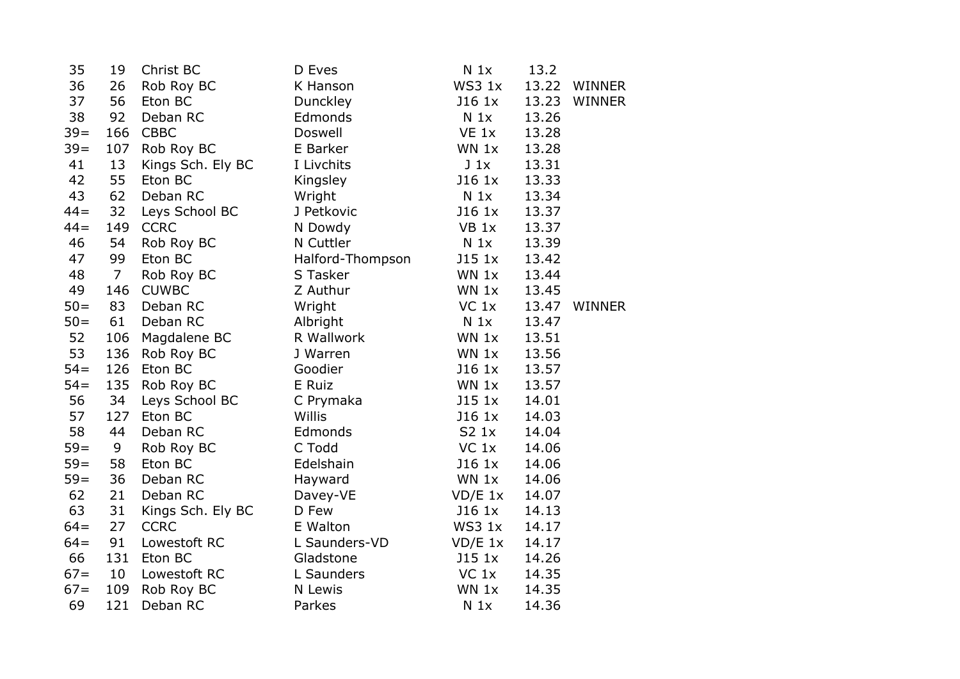| 35     | 19             | Christ BC         | D Eves           | N <sub>1x</sub>  | 13.2  |               |
|--------|----------------|-------------------|------------------|------------------|-------|---------------|
| 36     | 26             | Rob Roy BC        | K Hanson         | WS3 1x           | 13.22 | WINNER        |
| 37     | 56             | Eton BC           | Dunckley         | J16 1x           | 13.23 | WINNER        |
| 38     | 92             | Deban RC          | Edmonds          | N <sub>1x</sub>  | 13.26 |               |
| $39 =$ | 166            | <b>CBBC</b>       | Doswell          | VE 1x            | 13.28 |               |
| $39 =$ | 107            | Rob Roy BC        | E Barker         | WN 1x            | 13.28 |               |
| 41     | 13             | Kings Sch. Ely BC | I Livchits       | $J_1x$           | 13.31 |               |
| 42     | 55             | Eton BC           | Kingsley         | J16 1x           | 13.33 |               |
| 43     | 62             | Deban RC          | Wright           | N <sub>1x</sub>  | 13.34 |               |
| $44 =$ | 32             | Leys School BC    | J Petkovic       | J16 1x           | 13.37 |               |
| $44 =$ | 149            | <b>CCRC</b>       | N Dowdy          | VB <sub>1x</sub> | 13.37 |               |
| 46     | 54             | Rob Roy BC        | N Cuttler        | N <sub>1x</sub>  | 13.39 |               |
| 47     | 99             | Eton BC           | Halford-Thompson | J151x            | 13.42 |               |
| 48     | $\overline{7}$ | Rob Roy BC        | S Tasker         | WN 1x            | 13.44 |               |
| 49     | 146            | <b>CUWBC</b>      | Z Authur         | WN 1x            | 13.45 |               |
| $50 =$ | 83             | Deban RC          | Wright           | $VC$ 1 $x$       | 13.47 | <b>WINNER</b> |
| $50 =$ | 61             | Deban RC          | Albright         | $N_1x$           | 13.47 |               |
| 52     | 106            | Magdalene BC      | R Wallwork       | WN 1x            | 13.51 |               |
| 53     | 136            | Rob Roy BC        | J Warren         | WN 1x            | 13.56 |               |
| $54=$  | 126            | Eton BC           | Goodier          | $J16$ $1x$       | 13.57 |               |
| $54 =$ | 135            | Rob Roy BC        | E Ruiz           | WN 1x            | 13.57 |               |
| 56     | 34             | Leys School BC    | C Prymaka        | J151x            | 14.01 |               |
| 57     | 127            | Eton BC           | <b>Willis</b>    | J16 1x           | 14.03 |               |
| 58     | 44             | Deban RC          | Edmonds          | S2 1x            | 14.04 |               |
| $59=$  | 9              | Rob Roy BC        | C Todd           | $VC$ 1 $x$       | 14.06 |               |
| $59=$  | 58             | Eton BC           | Edelshain        | J16 1x           | 14.06 |               |
| $59=$  | 36             | Deban RC          | Hayward          | WN 1x            | 14.06 |               |
| 62     | 21             | Deban RC          | Davey-VE         | $VD/E$ 1x        | 14.07 |               |
| 63     | 31             | Kings Sch. Ely BC | D Few            | J16 1x           | 14.13 |               |
| $64=$  | 27             | <b>CCRC</b>       | E Walton         | WS3 1x           | 14.17 |               |
| $64=$  | 91             | Lowestoft RC      | L Saunders-VD    | $VD/E$ 1x        | 14.17 |               |
| 66     | 131            | Eton BC           | Gladstone        | J151x            | 14.26 |               |
| $67 =$ | 10             | Lowestoft RC      | L Saunders       | $VC$ $1x$        | 14.35 |               |
| $67 =$ | 109            | Rob Roy BC        | N Lewis          | $WN$ 1 $x$       | 14.35 |               |
| 69     | 121            | Deban RC          | Parkes           | $N_1x$           | 14.36 |               |
|        |                |                   |                  |                  |       |               |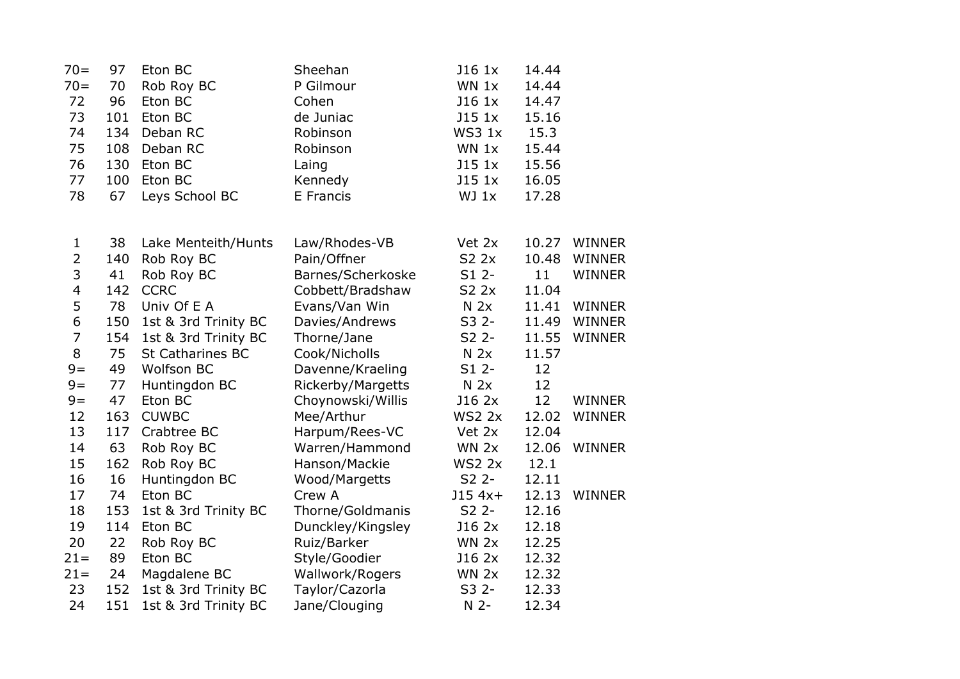| $70 =$                  | 97  | Eton BC                 | Sheehan           | J16 1x          | 14.44 |               |
|-------------------------|-----|-------------------------|-------------------|-----------------|-------|---------------|
| $70 =$                  | 70  | Rob Roy BC              | P Gilmour         | WN 1x           | 14.44 |               |
| 72                      | 96  | Eton BC                 | Cohen             | J16 1x          | 14.47 |               |
| 73                      | 101 | Eton BC                 | de Juniac         | J15 1x          | 15.16 |               |
| 74                      | 134 | Deban RC                | Robinson          | WS3 1x          | 15.3  |               |
| 75                      | 108 | Deban RC                | Robinson          | WN 1x           | 15.44 |               |
| 76                      | 130 | Eton BC                 | Laing             | J15 1x          | 15.56 |               |
| 77                      | 100 | Eton BC                 | Kennedy           | J15 1x          | 16.05 |               |
| 78                      | 67  | Leys School BC          | E Francis         | WJ 1x           | 17.28 |               |
|                         |     |                         |                   |                 |       |               |
| 1                       | 38  | Lake Menteith/Hunts     | Law/Rhodes-VB     | Vet 2x          | 10.27 | <b>WINNER</b> |
| $\overline{2}$          | 140 | Rob Roy BC              | Pain/Offner       | S2 2x           | 10.48 | WINNER        |
| 3                       | 41  | Rob Roy BC              | Barnes/Scherkoske | $S12$ -         | 11    | <b>WINNER</b> |
| $\overline{\mathbf{4}}$ | 142 | <b>CCRC</b>             | Cobbett/Bradshaw  | S2 2x           | 11.04 |               |
| 5                       | 78  | Univ Of E A             | Evans/Van Win     | N <sub>2x</sub> | 11.41 | <b>WINNER</b> |
| 6                       | 150 | 1st & 3rd Trinity BC    | Davies/Andrews    | $S32 -$         | 11.49 | <b>WINNER</b> |
| $\overline{7}$          | 154 | 1st & 3rd Trinity BC    | Thorne/Jane       | $S2$ 2-         | 11.55 | <b>WINNER</b> |
| 8                       | 75  | <b>St Catharines BC</b> | Cook/Nicholls     | N <sub>2x</sub> | 11.57 |               |
| $9=$                    | 49  | <b>Wolfson BC</b>       | Davenne/Kraeling  | $S12$ -         | 12    |               |
| $9=$                    | 77  | Huntingdon BC           | Rickerby/Margetts | N <sub>2x</sub> | 12    |               |
| $9=$                    | 47  | Eton BC                 | Choynowski/Willis | J16 2x          | 12    | WINNER        |
| 12                      | 163 | <b>CUWBC</b>            | Mee/Arthur        | <b>WS2 2x</b>   | 12.02 | <b>WINNER</b> |
| 13                      | 117 | Crabtree BC             | Harpum/Rees-VC    | Vet 2x          | 12.04 |               |
| 14                      | 63  | Rob Roy BC              | Warren/Hammond    | WN 2x           | 12.06 | <b>WINNER</b> |
| 15                      | 162 | Rob Roy BC              | Hanson/Mackie     | <b>WS2 2x</b>   | 12.1  |               |
| 16                      | 16  | Huntingdon BC           | Wood/Margetts     | S2 2-           | 12.11 |               |
| 17                      | 74  | Eton BC                 | Crew A            | $J154x+$        | 12.13 | <b>WINNER</b> |
| 18                      | 153 | 1st & 3rd Trinity BC    | Thorne/Goldmanis  | $S2$ 2-         | 12.16 |               |
| 19                      | 114 | Eton BC                 | Dunckley/Kingsley | J16 2x          | 12.18 |               |
| 20                      | 22  | Rob Roy BC              | Ruiz/Barker       | WN 2x           | 12.25 |               |
| $21 =$                  | 89  | Eton BC                 | Style/Goodier     | J16 2x          | 12.32 |               |
| $21 =$                  | 24  | Magdalene BC            | Wallwork/Rogers   | WN 2x           | 12.32 |               |
| 23                      | 152 | 1st & 3rd Trinity BC    | Taylor/Cazorla    | S3 2-           | 12.33 |               |
| 24                      | 151 | 1st & 3rd Trinity BC    | Jane/Clouging     | $N$ 2-          | 12.34 |               |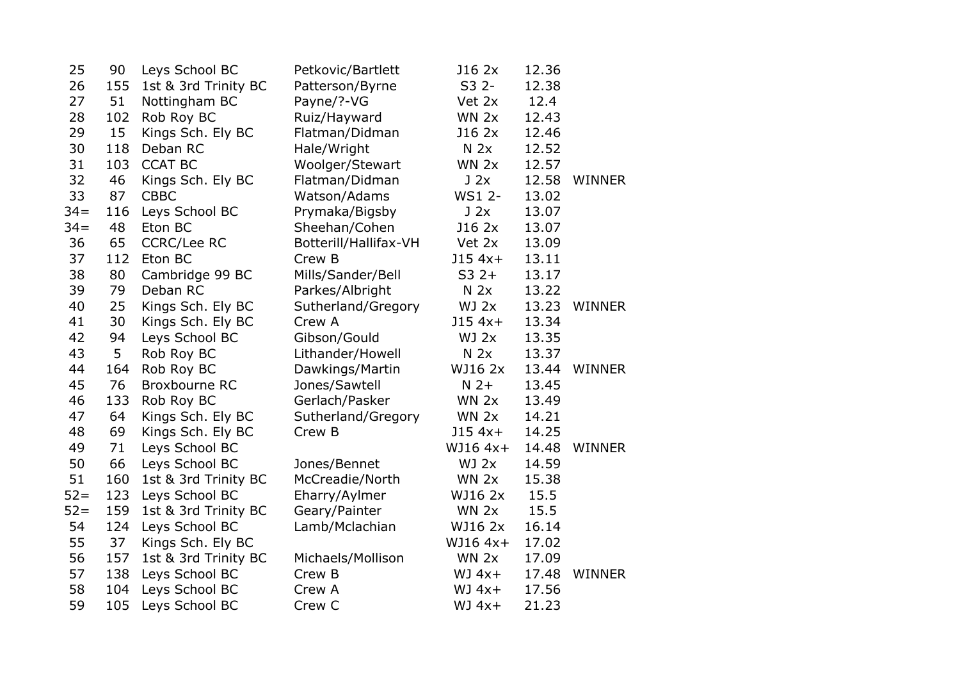| 25     | 90  | Leys School BC       | Petkovic/Bartlett     | J16 2x          | 12.36 |               |
|--------|-----|----------------------|-----------------------|-----------------|-------|---------------|
| 26     | 155 | 1st & 3rd Trinity BC | Patterson/Byrne       | S3 2-           | 12.38 |               |
| 27     | 51  | Nottingham BC        | Payne/?-VG            | Vet 2x          | 12.4  |               |
| 28     | 102 | Rob Roy BC           | Ruiz/Hayward          | WN 2x           | 12.43 |               |
| 29     | 15  | Kings Sch. Ely BC    | Flatman/Didman        | J16 2x          | 12.46 |               |
| 30     | 118 | Deban RC             | Hale/Wright           | N <sub>2x</sub> | 12.52 |               |
| 31     | 103 | <b>CCAT BC</b>       | Woolger/Stewart       | WN 2x           | 12.57 |               |
| 32     | 46  | Kings Sch. Ely BC    | Flatman/Didman        | J2x             | 12.58 | <b>WINNER</b> |
| 33     | 87  | <b>CBBC</b>          | Watson/Adams          | WS1 2-          | 13.02 |               |
| $34 =$ | 116 | Leys School BC       | Prymaka/Bigsby        | J2x             | 13.07 |               |
| $34 =$ | 48  | Eton BC              | Sheehan/Cohen         | J16 2x          | 13.07 |               |
| 36     | 65  | <b>CCRC/Lee RC</b>   | Botterill/Hallifax-VH | Vet 2x          | 13.09 |               |
| 37     | 112 | Eton BC              | Crew B                | $J154x+$        | 13.11 |               |
| 38     | 80  | Cambridge 99 BC      | Mills/Sander/Bell     | $S32+$          | 13.17 |               |
| 39     | 79  | Deban RC             | Parkes/Albright       | N <sub>2x</sub> | 13.22 |               |
| 40     | 25  | Kings Sch. Ely BC    | Sutherland/Gregory    | WJ 2x           | 13.23 | <b>WINNER</b> |
| 41     | 30  | Kings Sch. Ely BC    | Crew A                | $J154x+$        | 13.34 |               |
| 42     | 94  | Leys School BC       | Gibson/Gould          | WJ 2x           | 13.35 |               |
| 43     | 5   | Rob Roy BC           | Lithander/Howell      | N <sub>2x</sub> | 13.37 |               |
| 44     | 164 | Rob Roy BC           | Dawkings/Martin       | WJ16 2x         | 13.44 | <b>WINNER</b> |
| 45     | 76  | <b>Broxbourne RC</b> | Jones/Sawtell         | $N$ 2+          | 13.45 |               |
| 46     | 133 | Rob Roy BC           | Gerlach/Pasker        | WN 2x           | 13.49 |               |
| 47     | 64  | Kings Sch. Ely BC    | Sutherland/Gregory    | WN 2x           | 14.21 |               |
| 48     | 69  | Kings Sch. Ely BC    | Crew B                | $J154x+$        | 14.25 |               |
| 49     | 71  | Leys School BC       |                       | WJ16 4x+        | 14.48 | <b>WINNER</b> |
| 50     | 66  | Leys School BC       | Jones/Bennet          | WJ 2x           | 14.59 |               |
| 51     | 160 | 1st & 3rd Trinity BC | McCreadie/North       | WN 2x           | 15.38 |               |
| $52 =$ | 123 | Leys School BC       | Eharry/Aylmer         | WJ16 2x         | 15.5  |               |
| $52 =$ | 159 | 1st & 3rd Trinity BC | Geary/Painter         | WN 2x           | 15.5  |               |
| 54     | 124 | Leys School BC       | Lamb/Mclachian        | WJ16 2x         | 16.14 |               |
| 55     | 37  | Kings Sch. Ely BC    |                       | WJ16 4x+        | 17.02 |               |
| 56     | 157 | 1st & 3rd Trinity BC | Michaels/Mollison     | WN 2x           | 17.09 |               |
| 57     | 138 | Leys School BC       | Crew B                | $WJ 4x+$        | 17.48 | <b>WINNER</b> |
| 58     | 104 | Leys School BC       | Crew A                | $WJ 4x+$        | 17.56 |               |
| 59     | 105 | Leys School BC       | Crew C                | $WJ 4x+$        | 21.23 |               |
|        |     |                      |                       |                 |       |               |